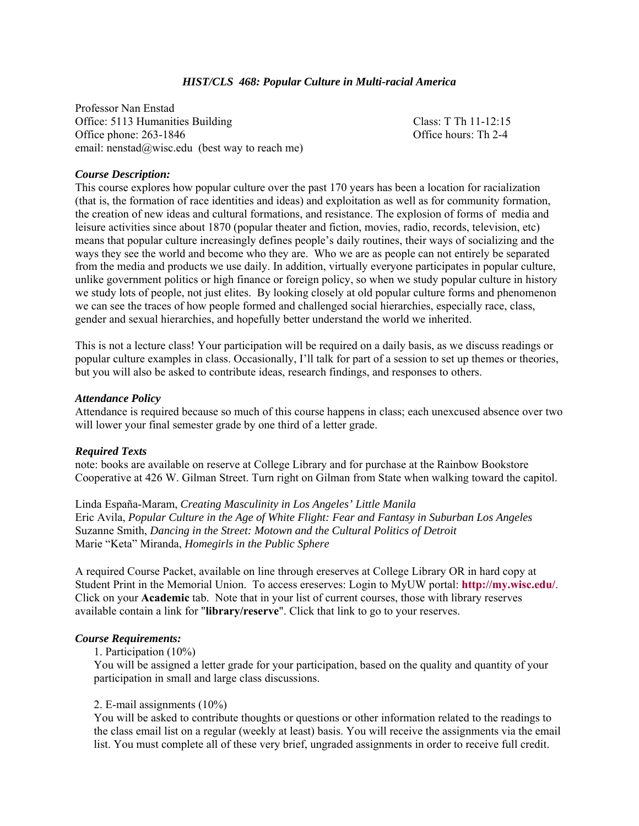### *HIST/CLS 468: Popular Culture in Multi-racial America*

Professor Nan Enstad Office: 5113 Humanities Building Class: T Th 11-12:15 Office phone: 263-1846 Office hours: Th 2-4 email: nenstad@wisc.edu (best way to reach me)

### *Course Description:*

This course explores how popular culture over the past 170 years has been a location for racialization (that is, the formation of race identities and ideas) and exploitation as well as for community formation, the creation of new ideas and cultural formations, and resistance. The explosion of forms of media and leisure activities since about 1870 (popular theater and fiction, movies, radio, records, television, etc) means that popular culture increasingly defines people's daily routines, their ways of socializing and the ways they see the world and become who they are. Who we are as people can not entirely be separated from the media and products we use daily. In addition, virtually everyone participates in popular culture, unlike government politics or high finance or foreign policy, so when we study popular culture in history we study lots of people, not just elites. By looking closely at old popular culture forms and phenomenon we can see the traces of how people formed and challenged social hierarchies, especially race, class, gender and sexual hierarchies, and hopefully better understand the world we inherited.

This is not a lecture class! Your participation will be required on a daily basis, as we discuss readings or popular culture examples in class. Occasionally, I'll talk for part of a session to set up themes or theories, but you will also be asked to contribute ideas, research findings, and responses to others.

#### *Attendance Policy*

Attendance is required because so much of this course happens in class; each unexcused absence over two will lower your final semester grade by one third of a letter grade.

#### *Required Texts*

note: books are available on reserve at College Library and for purchase at the Rainbow Bookstore Cooperative at 426 W. Gilman Street. Turn right on Gilman from State when walking toward the capitol.

Linda España-Maram, *Creating Masculinity in Los Angeles' Little Manila*  Eric Avila, *Popular Culture in the Age of White Flight: Fear and Fantasy in Suburban Los Angeles*  Suzanne Smith, *Dancing in the Street: Motown and the Cultural Politics of Detroit*  Marie "Keta" Miranda, *Homegirls in the Public Sphere* 

A required Course Packet, available on line through ereserves at College Library OR in hard copy at Student Print in the Memorial Union. To access ereserves: Login to MyUW portal: **http://my.wisc.edu/**. Click on your **Academic** tab. Note that in your list of current courses, those with library reserves available contain a link for "**library/reserve**". Click that link to go to your reserves.

### *Course Requirements:*

1. Participation (10%)

You will be assigned a letter grade for your participation, based on the quality and quantity of your participation in small and large class discussions.

#### 2. E-mail assignments (10%)

You will be asked to contribute thoughts or questions or other information related to the readings to the class email list on a regular (weekly at least) basis. You will receive the assignments via the email list. You must complete all of these very brief, ungraded assignments in order to receive full credit.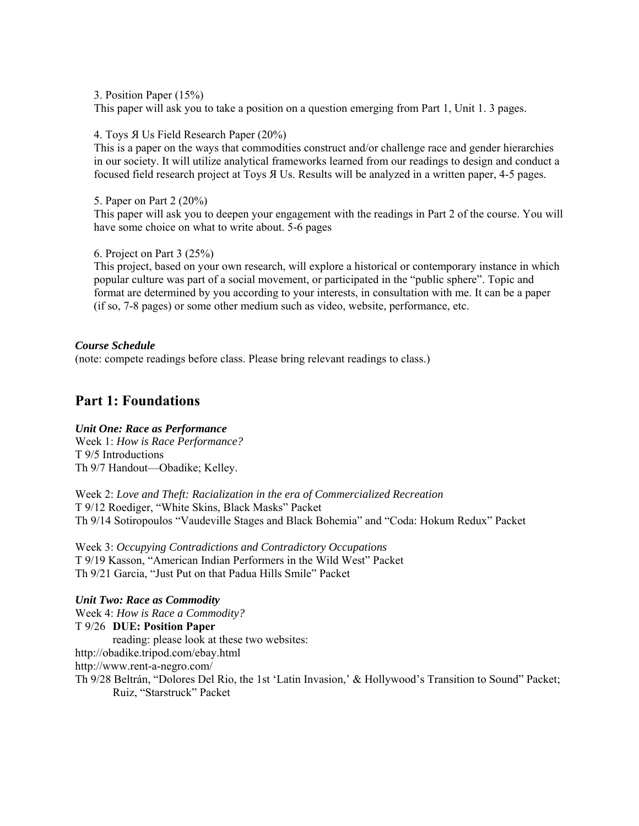3. Position Paper (15%)

This paper will ask you to take a position on a question emerging from Part 1, Unit 1. 3 pages.

4. Toys Я Us Field Research Paper (20%)

This is a paper on the ways that commodities construct and/or challenge race and gender hierarchies in our society. It will utilize analytical frameworks learned from our readings to design and conduct a focused field research project at Toys Я Us. Results will be analyzed in a written paper, 4-5 pages.

5. Paper on Part 2 (20%)

This paper will ask you to deepen your engagement with the readings in Part 2 of the course. You will have some choice on what to write about. 5-6 pages

6. Project on Part 3 (25%)

This project, based on your own research, will explore a historical or contemporary instance in which popular culture was part of a social movement, or participated in the "public sphere". Topic and format are determined by you according to your interests, in consultation with me. It can be a paper (if so, 7-8 pages) or some other medium such as video, website, performance, etc.

*Course Schedule* (note: compete readings before class. Please bring relevant readings to class.)

# **Part 1: Foundations**

## *Unit One: Race as Performance*

Week 1: *How is Race Performance?*  T 9/5 Introductions Th 9/7 Handout—Obadike; Kelley.

Week 2: *Love and Theft: Racialization in the era of Commercialized Recreation*  T 9/12 Roediger, "White Skins, Black Masks" Packet Th 9/14 Sotiropoulos "Vaudeville Stages and Black Bohemia" and "Coda: Hokum Redux" Packet

Week 3: *Occupying Contradictions and Contradictory Occupations*  T 9/19 Kasson, "American Indian Performers in the Wild West" Packet Th 9/21 Garcia, "Just Put on that Padua Hills Smile" Packet

*Unit Two: Race as Commodity* Week 4: *How is Race a Commodity?*  T 9/26 **DUE: Position Paper**  reading: please look at these two websites: http://obadike.tripod.com/ebay.html http://www.rent-a-negro.com/ Th 9/28 Beltrán, "Dolores Del Rio, the 1st 'Latin Invasion,' & Hollywood's Transition to Sound" Packet; Ruiz, "Starstruck" Packet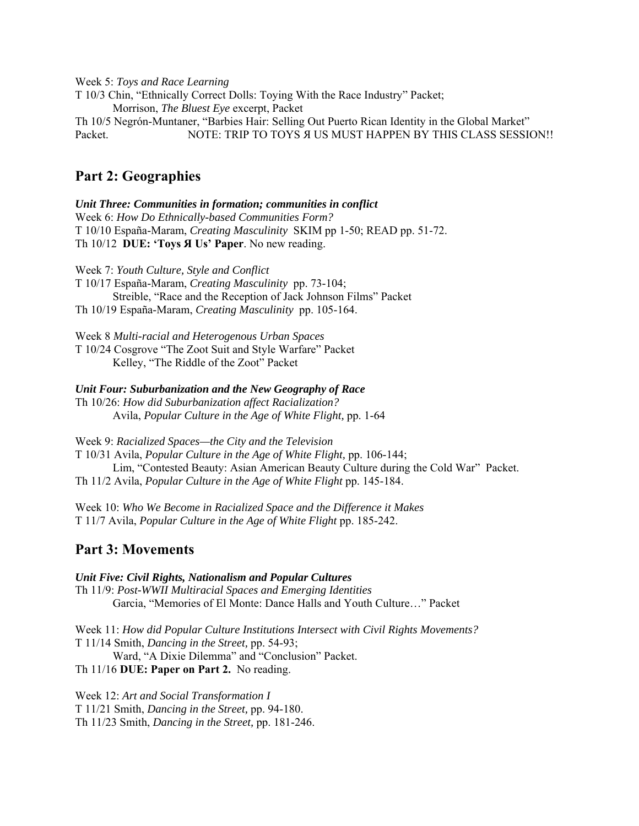Week 5: *Toys and Race Learning* T 10/3 Chin, "Ethnically Correct Dolls: Toying With the Race Industry" Packet; Morrison, *The Bluest Eye* excerpt, Packet Th 10/5 Negrón-Muntaner, "Barbies Hair: Selling Out Puerto Rican Identity in the Global Market" Packet. NOTE: TRIP TO TOYS A US MUST HAPPEN BY THIS CLASS SESSION!!

# **Part 2: Geographies**

*Unit Three: Communities in formation; communities in conflict*  Week 6: *How Do Ethnically-based Communities Form?* T 10/10 España-Maram, *Creating Masculinity* SKIM pp 1-50; READ pp. 51-72. Th 10/12 **DUE: 'Toys Я Us' Paper**. No new reading.

Week 7: *Youth Culture, Style and Conflict* T 10/17 España-Maram, *Creating Masculinity* pp. 73-104; Streible, "Race and the Reception of Jack Johnson Films" Packet Th 10/19 España-Maram, *Creating Masculinity* pp. 105-164.

Week 8 *Multi-racial and Heterogenous Urban Spaces* 

T 10/24 Cosgrove "The Zoot Suit and Style Warfare" Packet Kelley, "The Riddle of the Zoot" Packet

*Unit Four: Suburbanization and the New Geography of Race* 

Th 10/26: *How did Suburbanization affect Racialization?* Avila, *Popular Culture in the Age of White Flight,* pp. 1-64

Week 9: *Racialized Spaces—the City and the Television* T 10/31 Avila, *Popular Culture in the Age of White Flight,* pp. 106-144; Lim, "Contested Beauty: Asian American Beauty Culture during the Cold War" Packet. Th 11/2 Avila, *Popular Culture in the Age of White Flight* pp. 145-184.

Week 10: *Who We Become in Racialized Space and the Difference it Makes* T 11/7 Avila, *Popular Culture in the Age of White Flight* pp. 185-242.

# **Part 3: Movements**

*Unit Five: Civil Rights, Nationalism and Popular Cultures*  Th 11/9: *Post-WWII Multiracial Spaces and Emerging Identities*  Garcia, "Memories of El Monte: Dance Halls and Youth Culture…" Packet

Week 11: *How did Popular Culture Institutions Intersect with Civil Rights Movements?* T 11/14 Smith, *Dancing in the Street,* pp. 54-93; Ward, "A Dixie Dilemma" and "Conclusion" Packet. Th 11/16 **DUE: Paper on Part 2.** No reading.

Week 12: *Art and Social Transformation I* T 11/21 Smith, *Dancing in the Street,* pp. 94-180. Th 11/23 Smith, *Dancing in the Street,* pp. 181-246.